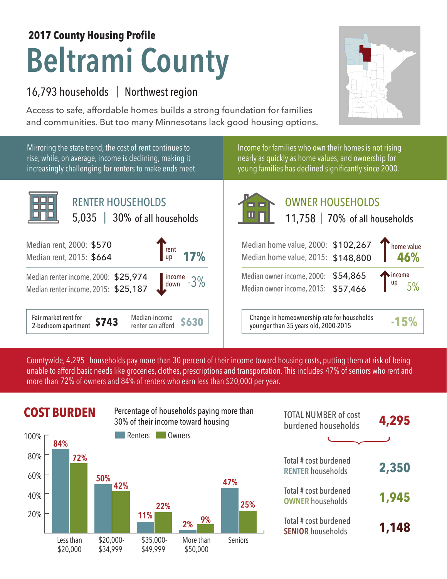# **Beltrami County 2017 County Housing Profile**

## 16,793 households | Northwest region

Access to safe, affordable homes builds a strong foundation for families and communities. But too many Minnesotans lack good housing options.



Mirroring the state trend, the cost of rent continues to rise, while, on average, income is declining, making it increasingly challenging for renters to make ends meet.



Income for families who own their homes is not rising nearly as quickly as home values, and ownership for young families has declined significantly since 2000.



# OWNER HOUSEHOLDS

|  | 11,758   70% of all households |
|--|--------------------------------|
|  |                                |

| Median home value, 2000: \$102,267<br>Median home value, 2015: \$148,800   | home value<br>46%                  |
|----------------------------------------------------------------------------|------------------------------------|
| Median owner income, 2000: \$54,865<br>Median owner income, 2015: \$57,466 | $\int_{\text{up}}^{\text{income}}$ |
|                                                                            |                                    |

**\$630** Change in homeownership rate for households younger than 35 years old, 2000-2015 **-15%**

Countywide, 4,295  $\,$  households pay more than 30 percent of their income toward housing costs, putting them at risk of being  $\,$ unable to afford basic needs like groceries, clothes, prescriptions and transportation. This includes 47% of seniors who rent and more than 72% of owners and 84% of renters who earn less than \$20,000 per year.



|        | <b>COST BURDEN</b> |            |         | Percentage of households paying more than<br>30% of their income toward housing |         | <b>TOTAL NUMBER of cost</b><br>burdened households | 4,295 |
|--------|--------------------|------------|---------|---------------------------------------------------------------------------------|---------|----------------------------------------------------|-------|
| 100% г | 84%                |            | Renters | Owners                                                                          |         |                                                    |       |
| 80%    | 72%                |            |         |                                                                                 |         | Total # cost burdened<br><b>RENTER households</b>  | 2,350 |
| 60%    |                    | 50%<br>42% |         |                                                                                 | 47%     |                                                    |       |
| 40%    |                    |            | 22%     |                                                                                 | 25%     | Total # cost burdened<br><b>OWNER households</b>   | 1,945 |
| 20%    |                    |            | 11%     | 9%<br>2%                                                                        |         | Total # cost burdened<br><b>SENIOR households</b>  | 1,148 |
|        | l ess than         | \$20.000   | \$3500. | More than                                                                       | Seniors |                                                    |       |